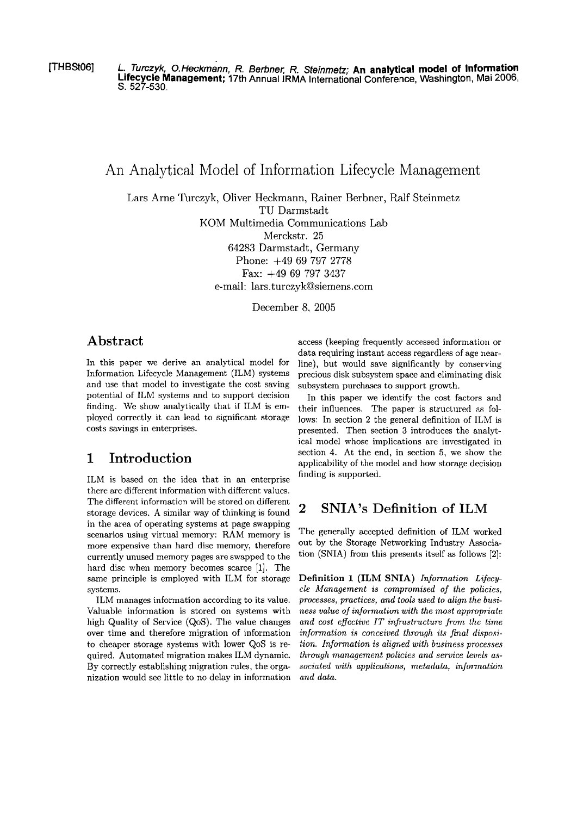[THBSt06] L. Turczyk, O.Heckmann, R. Berbner, R. Steinmetz; An analytical model of Information **Lifecycle Management;** 17th Annual **IRMA** International Conference, Washington, Mai 2006, S. 527-530.

# An Analytical Model of Information Lifecycle Management

Lars Arne Turczyk, Oliver Heckmann, Rainer Berbner, Ralf Steinmetz TU Darmstadt KOM Multimedia Communications Lab

Merckstr. 25

64283 Darmstadt, Germany Phone: +49 69 797 2778 Fax:  $+49$  69 797 3437

e-mail: lars.turczyk@siemens.com

December 8, 2005

## **Abstract**

In this paper we derive an analytical model for Information Lifecycle Management (ILM) systems and use that model to investigate the cost saving potential of ILM systems and to support decision finding. We show analytically that if ILM is employed correctly it can lead to significant storage costs savings in enterprises.

# **1 Introduction**

ILM is based on the idea that in an enterprise there are different information with different values. The different information will be stored on different storage devices. A similar way of thinking is found in the area of operating systems at page swapping scenarios using virtual memory: RAM memory is more expensive than hard disc memory, therefore currently unused memory pages are swapped to the hard disc when memory becomes scarce [I]. The Same principle is employed with ILM for storage systems.

ILM rnanages information according to its value. Valuable information is stored on systems with high Quality of Service (QoS). The value changes over time and therefore migration of information to cheaper storage systems with lower QoS is required. Automated migration makes ILM dynamic. By correctly establishing migration rules, the organization would See little to no delay in information access (keeping frequently accessed information or data requiring instant access regardless of age nearline), but would save significantly by conserving precious disk subsystem space and eliminating disk subsystem purchases to support growth.

In this paper we identify the cost factors and their influences. The paper is structured as follows: In section 2 the general definition of ILM is presented. Then section 3 introduces the analytical model whose implications are investigated in section 4. At the end, in section 5, we show the applicability of the model and how storage decision finding is supported.

# **2 SNIA's Definition of ILM**

The generally accepted definition of ILM worked out by the Storage Networking Industry Association (SNIA) from this presents itself **as** follows [2]:

Definition 1 (ILM SNIA) *Information Lifecycle Management is compromzsed of the policies, processes, practices, und tools used to align the business value of information with the most appropriate and cost eflcctive IT inJrustructure from the time information is conceived through its final disposition. Information is aligned with business processes through management policies and seruice Levels associated with upplications, metadata, information und data.*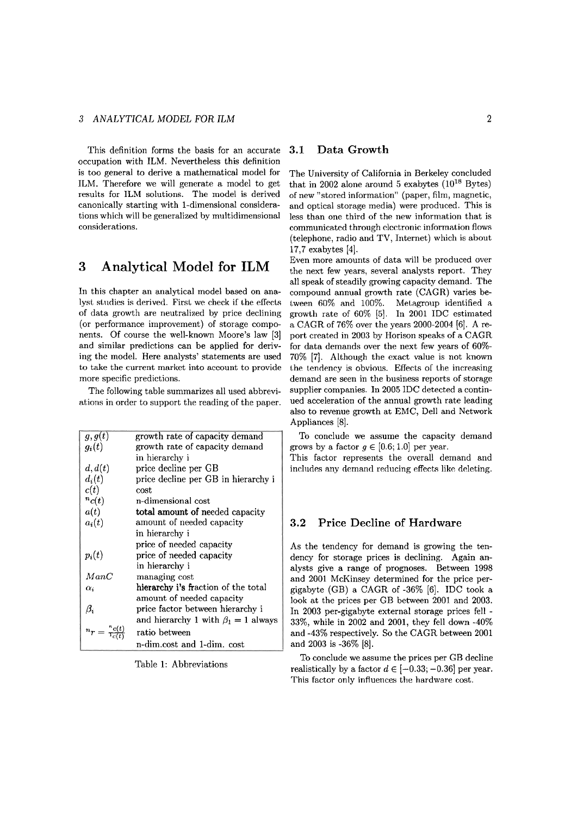### *3 ANALYTICAL MODEL FOR ILM* 2

This definition forms the basis for an accurate occupation with ILM. Nevertheless this definition is too general to derive a mathematical model for ILM. Therefore we will generate a model to get results for ILM solutions. The model is derived canonically starting with 1-dimensional considerations which will be generalized by multidimensional considerations.

## **3 Analytical Model for ILM**

In this chapter an analytical model based on analyst studies is derived. First we check if the effects of data growth are neutraliaed by price declining (or performance improvement) of storage components. Of course the well-known Moore's law [3] and similar predictions can be applied for deriving the model. Here analysts' statements are used to take the current market into account to provide more specific predictions.

The following table sumrnarizes all used abbreviations in order to Support the reading of the paper.

| g,g(t)                                 | growth rate of capacity demand            |
|----------------------------------------|-------------------------------------------|
| $g_i(t)$                               | growth rate of capacity demand            |
|                                        | in hierarchy i                            |
| d, d(t)                                | price decline per GB                      |
| $d_i(t)$                               | price decline per GB in hierarchy i       |
| c(t)                                   | cost                                      |
| ${}^{n}c(t)$                           | n-dimensional cost                        |
| a(t)                                   | total amount of needed capacity           |
| $a_i(t)$                               | amount of needed capacity                 |
|                                        | in hierarchy i                            |
|                                        | price of needed capacity                  |
| $p_i(t)$                               | price of needed capacity                  |
|                                        | in hierarchy i                            |
| ManC                                   | managing cost                             |
| $\alpha_i$                             | hierarchy i's fraction of the total       |
|                                        | amount of needed capacity                 |
| $\beta_i$                              | price factor between hierarchy i          |
|                                        | and hierarchy 1 with $\beta_1 = 1$ always |
| $\binom{n}{t} = \frac{n_c(t)}{1_c(t)}$ | ratio between                             |
|                                        | n-dim.cost and 1-dim. cost                |

Table 1: Abbreviations

## **3.1 Data Growth**

The University of California in Berkeley concluded that in 2002 alone around 5 exabytes  $(10^{18} \text{ Bytes})$ of new "stored information" (paper, film, magnetic, and optical storage media) were produced. This is less than one third of the new information that is communicated through clcctronic information flows (telephone, radio and TV, Internet) which is about 17,7 exabytes [4].

Even more amourits of data will be produced over the next few years, several analysts report. They all speak of steadily growing capacity demand. The compound annual growth rate (CAGR) varies between 60% and 100%. Metagroup identified a growth rate of 60% [5]. In 2001 IDC estimated a CAGR of 76% over the years 2000-2004 [6]. A report created in 2003 by Horison speaks of a CAGR for data demands over the next few years of 60%- 70% [7]. Although the exact value is not known the tendency is obvious. Effects of the increasing demand are seen in the business reports of storage supplier companies. In 2005 IDC detected a continued acceleration of the annual growth rate leading also to revenue growth at EMC, Dell and Network Appliances [8].

To conclude we assume the capacity demand grows by a factor  $g \in [0.6; 1.0]$  per year.

This factor represents the overall demand and includes any demand reducing effects like deleting.

## **3.2 Price Decline of Hardware**

As the tendency for demand is growing the tendency for storage prices is declining. Again analysts give a range of prognoses. Between 1998 and 2001 McKinsey determined for the price pergigabyte (GB) a CAGR of -36% [6]. IDC took a look at the prices per GB between 2001 and 2003. In 2003 per-gigabyte external storage prices fell - 33%, while in 2002 and 2001, they fell down -40% and -43% respectively. So the CAGR between 2001 and 2003 is -36% [8].

To conclude we assume the prices per GB decline realistically by a factor  $d \in [-0.33; -0.36]$  per year. This factor only influences the hardware cost.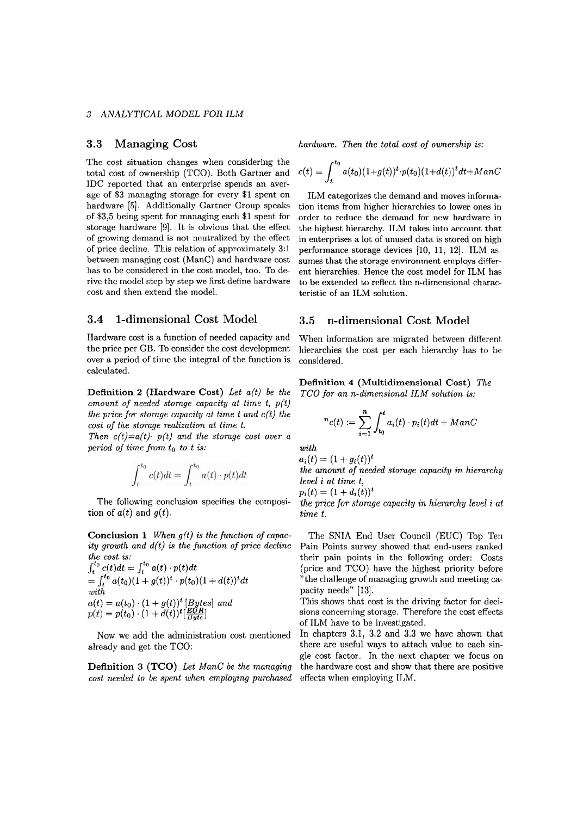### **3** *ANALYTICAL MODEL FOR ILM*

The cost situation changes when considering the total cost of ownership (TCO). Both Gartner and IDC reported that an enterprise sperids an average of **\$3** managing storage for every *\$1* spent on hardware *[5].* Additionally Gartner Group speaks of *\$3,5* being spent for managing each *\$1* spent for storage hardware [9]. It is obvious that the effect of growing demand is not neutralized by the effect of price decline. This relatiori of approximately *3:l*  between managing cost (ManC) and hardware cost has to be considered in the cost model, too. To derive the model step by step we first define hardware cost and then extend the model.

## **3.4 1-dimensional Cost Model 3.5 n-dimensional Cost Model**

Hardware cost is a function of needed capacity and the price per GB. To consider the cost development over a period of time the integral of the function is calculated.

**Definition 2 (Hardware Cost)** *Let a(t) be the amount of needed stomge capacity ut time t, p(t) the price for storage capacity at time t and c(t) the cost of the storage realization at time t.* 

*Then c(t)=a(t) p(t) and the storage cost over a period of time from to to t is:* 

$$
\int_{t}^{t_0} c(t)dt = \int_{t}^{t_0} a(t) \cdot p(t)dt
$$

The following conclusion specifies the composi- the price for storage capacity in hierarchy level i at tion of  $a(t)$  and  $q(t)$ . time t.

**Conclusion 1** *When*  $g(t)$  *is the function of capac*- The SNIA End User Council (EUC) Top Ten *ity growth and*  $d(t)$  *is the function of price decline* Pain Points survey showed that end-users ranked

$$
\int_{t}^{t_{0}} c(t)dt = \int_{t}^{t_{0}} a(t) \cdot p(t)dt
$$
\n
$$
= \int_{t}^{t_{0}} a(t_{0})(1 + g(t))^{t} \cdot p(t_{0})(1 + d(t))^{t}dt
$$
\nwith\n
$$
a(t) = a(t_{0}) \cdot (1 + g(t))^{t} [Bytes] \text{ and}
$$
\n
$$
p(t) = p(t_{0}) \cdot (1 + d(t))^{t} [E(t_{0})^{t}]
$$

*cost needed to be spent when employing purchased* effects when employing ILM.

**3.3 Managing Cast** *hardware. Then the total cost* **of** *ownership is:* 

$$
c(t) = \int_{t}^{t_0} a(t_0)(1+g(t))^t \cdot p(t_0)(1+d(t))^t dt + ManC
$$

ILM categorizes the demand and moves information items from higher hierarchies to lower ones in order to reduce the demand for new hardware in the highest hierarchy. ILM takes into account that in enterprises a lot of unused data is stored on high performance storage devices [10, *11, 121.* ILM **as**sumes that the storage envirorment employs different hierarchies. Hence the cost model for ILM has to be extended to reflect the n-dimensional characteristic of an ILM solution.

When information are migrated between different hierarchies the cost per each hierarchy has to be considered.

**Definition 4 (Multidimensional Cost)** *The TC0 for an n-dimensional ILM solution is:* 

$$
{}^{n}c(t) := \sum_{i=1}^{n} \int_{t_0}^{t} a_i(t) \cdot p_i(t) dt + ManC
$$

*with* 

$$
a_i(t) = (1 + g_i(t))^{t}
$$
  
the amount of needed storage capacity in hierarchy  
level i at time t,

 $p_i(t) = (1 + d_i(t))^t$ 

Pain Points survey showed that end-users ranked *the cost is:* **their pain points in the following order:** Costs (price and TCO) have the highest priority before <sup>"</sup> the challenge of managing growth and meeting ca*with* pacity needs" *[13].* 

> This shows that cost is the driving factor for deci- $\theta(t)$ <sup>t</sup> $\left(\frac{EUR}{Byte}\right)$  sions concerning storage. Therefore the cost effects of ILM have to be investigated.

Now we add the administration cost mentioned In chapters 3.1, 3.2 and 3.3 we have shown that already and get the TCO: there are useful ways to attach value to each single cost factor. In thc next chapter we focus on **Definition 3 (TCO)** *Let ManC be the managing* the hardware cost and show that there are positive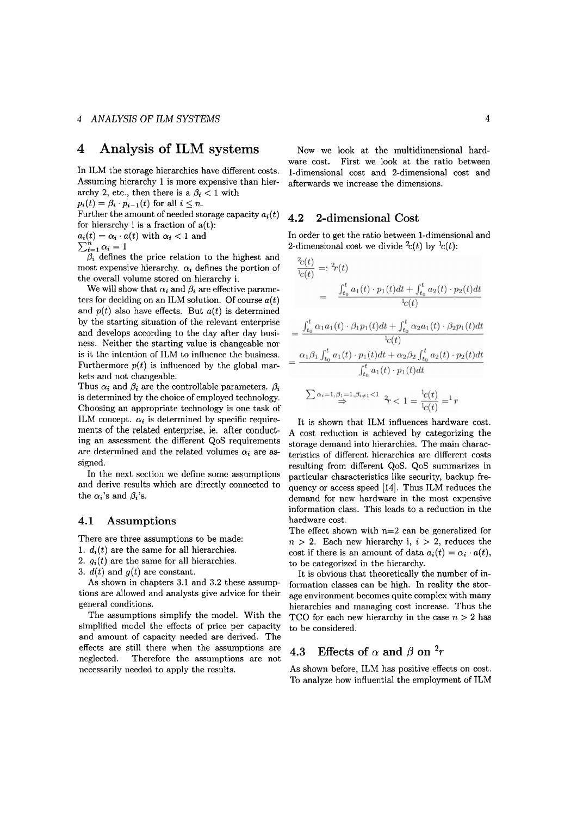## **4 Analysis of ILM** systems

In ILM the storage hierarchies have different costs. Assuming hierarchy **1** is more expensive than hierarchy 2, etc., then there is a  $\beta_i < 1$  with

 $p_i(t) = \beta_i \cdot p_{i-1}(t)$  for all  $i \leq n$ .

Further the amount of needed storage capacity  $a_i(t)$ for hierarchy i is a fraction of  $a(t)$ :

 $a_i(t) = \alpha_i \cdot a(t)$  with  $\alpha_i < 1$  and

$$
\sum_{i=1}^{n} \alpha_i = 1
$$

 $\beta_i$  defines the price relation to the highest and most expensive hierarchy.  $\alpha_i$  defines the portion of the overall volume stored on hierarchy i.

We will show that  $\alpha_i$  and  $\beta_i$  are effective parameters for deciding on an ILM solution. Of course  $a(t)$ and  $p(t)$  also have effects. But  $a(t)$  is determined by the starting situation of the relevant enterprise and develops according to the day after day business. Neither the starting value is changeable nor is it the intention of ILM to influence the business. Furthermore  $p(t)$  is influenced by the global markets and not changeable.

Thus  $\alpha_i$  and  $\beta_i$  are the controllable parameters.  $\beta_i$ is determined by the choice of employed technology. Choosing an appropriate technology is one task of ILM concept.  $\alpha_i$  is determined by specific requirements of the related enterprise, ie. after conducting an assessment the different QoS requirements are determined and the related volumes  $\alpha_i$  are assigned.

In the ncxt scction wc dcfine somc assumptions and derive results which are directly connected to the  $\alpha_i$ 's and  $\beta_i$ 's.

## **4.1 Assumptions**

There are three assumptions to be made:

- 1.  $d_i(t)$  are the same for all hierarchies.
- 2.  $q_i(t)$  are the same for all hierarchies.
- 3.  $d(t)$  and  $q(t)$  are constant.

As shown in chapters **3.1** and 3.2 these assumptions are allowed and analysts give advice for their general conditions.

The assumptions simplify the model. With the sirnplificd modcl thc effccts of price pcr capacity and amount of capacity needed are derived. The effects are still there when the assumptions are neglected. Therefore the assumptions are not necessarily needed to apply the results.

Now we look at the multidimensional hard-Ware cost. First we look at the ratio between 1-dimensional cost and 2-dimensional cost and afterwards we increase the dimensions.

## **4.2 2-dimensional Cost**

 $\alpha$ 

In order to get the ratio between 1-dimensional and 2-dimensional cost we divide  $c(t)$  by  $\frac{1}{c}(t)$ :

$$
\frac{f_{c}(t)}{f_{c}(t)} =: {}^{2}r(t)
$$
\n
$$
= \frac{\int_{t_{0}}^{t} a_{1}(t) \cdot p_{1}(t)dt + \int_{t_{0}}^{t} a_{2}(t) \cdot p_{2}(t)dt}{f_{c}(t)}
$$
\n
$$
= \frac{\int_{t_{0}}^{t} \alpha_{1} a_{1}(t) \cdot \beta_{1} p_{1}(t)dt + \int_{t_{0}}^{t} \alpha_{2} a_{1}(t) \cdot \beta_{2} p_{1}(t)dt}{f_{c}(t)}
$$
\n
$$
= \frac{\alpha_{1} \beta_{1} \int_{t_{0}}^{t} a_{1}(t) \cdot p_{1}(t)dt + \alpha_{2} \beta_{2} \int_{t_{0}}^{t} a_{2}(t) \cdot p_{2}(t)dt}{\int_{t_{0}}^{t} a_{1}(t) \cdot p_{1}(t)dt}
$$
\n
$$
\sum \alpha_{i} = 1, \beta_{1} = 1, \beta_{i} \neq 1 < 1 \quad \frac{1}{2} \frac{c(t)}{c(t)} = 1 r
$$

It is shown that ILM influences hardware cost. A cost reduction is achieved by categorizing the storage demand into hierarchies. The main characteristics of different hierarchies are different costs resulting from different QoS. QoS summarizes in particular characteristics like security, backup frequency or access speed [14]. Thus ILM reduces the demand for new hardware in the most expensive information class. This leads to a reduction in the hardware cost.

The effect shown with  $n=2$  can be generalized for  $n > 2$ . Each new hierarchy i,  $i > 2$ , reduces the cost if there is an amount of data  $a_i(t) = \alpha_i \cdot a(t)$ , to be categorized in the hierarchy.

It is obvious that theoretically the number of information classes can be high. In reality the storage environment becomes quite complex with many hierarchies and managing cost increase. Thus the TCO for each new hierarchy in the case  $n > 2$  has to be considered.

## **4.3** Effects of  $\alpha$  and  $\beta$  on  $^2r$

As shown before, ILM has positive effects on cost. To analyze how influential the employment of ILM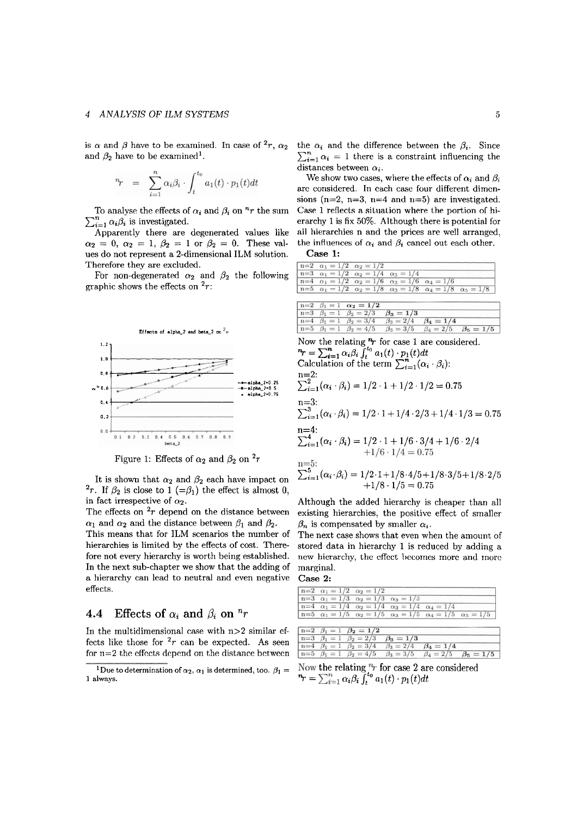is  $\alpha$  and  $\beta$  have to be examined. In case of  $r^2$ ,  $\alpha_2$ and  $\beta_2$  have to be examined<sup>1</sup>.

$$
\eta_r = \sum_{i=1}^n \alpha_i \beta_i \cdot \int_t^{t_0} a_1(t) \cdot p_1(t) dt
$$

To analyse the effects of  $\alpha_i$  and  $\beta_i$  on "r the sum  $\sum_{i=1}^{n} \alpha_i \beta_i$  is investigated.

Apparently there are degenerated values like  $\alpha_2 = 0, \ \alpha_2 = 1, \ \beta_2 = 1 \ \text{or} \ \beta_2 = 0.$  These values do not represent a 2-dimensional ILM solution. Therefore they are excluded.

For non-degenerated  $\alpha_2$  and  $\beta_2$  the following graphic shows the effects on  $2r$ :



Figure 1: Effects of  $\alpha_2$  and  $\beta_2$  on  $\alpha_1$ 

<sup>2</sup>r. If  $\beta_2$  is close to 1 (= $\beta_1$ ) the effect is almost 0, in fact irrespective of  $\alpha_2$ .

The effects on  $2r$  depend on the distance between  $\alpha_1$  and  $\alpha_2$  and the distance between  $\beta_1$  and  $\beta_2$ .

This means that for ILM scenarios the number of hierarchies is limited by the effects of cost. Therefore not every hierarchy is worth being established. In the next sub-chapter we show that the adding of a hierarchy can lead to neutral and even negative effects.

## **4.4 Effects of**  $\alpha_i$  **and**  $\beta_i$  **on**  $\binom{n}{r}$

In the multidimensional case with  $n>2$  similar effects like those for  $2r$  can be expected. As seen for  $n=2$  the effects depend on the distance between the  $\alpha_i$  and the difference between the  $\beta_i$ . Since  $\sum_{i=1}^{n} \alpha_i = 1$  there is a constraint influencing the distances between  $\alpha_i$ .

We show two cases, where the effects of  $\alpha_i$  and  $\beta_i$ are considered. In each case four different dimensions (n=2, n=3, n=4 and n=5) are investigated. Case 1 reflects a situation where the portion of hierarchy 1 is fix 50%. Although there is potential for all hierarchies n and the prices are well arranged, the influences of  $\alpha_i$  and  $\beta_i$  cancel out each other.

**Case 1:** 

| $n=2$ $\alpha_1 = 1/2$ $\alpha_2 = 1/2$ |                                                                           |  |                                                                                            |
|-----------------------------------------|---------------------------------------------------------------------------|--|--------------------------------------------------------------------------------------------|
|                                         | $n=3$ $\alpha_1 = 1/2$ $\alpha_2 = 1/4$ $\alpha_3 = 1/4$                  |  |                                                                                            |
|                                         | $n=4$ $\alpha_1 = 1/2$ $\alpha_2 = 1/6$ $\alpha_3 = 1/6$ $\alpha_4 = 1/6$ |  |                                                                                            |
|                                         |                                                                           |  | $n=5$ $\alpha_1 = 1/2$ $\alpha_2 = 1/8$ $\alpha_3 = 1/8$ $\alpha_4 = 1/8$ $\alpha_5 = 1/8$ |

|  | $n=2$ $\beta_1 = 1$ $\alpha_2 = 1/2$                                                |  |  |
|--|-------------------------------------------------------------------------------------|--|--|
|  | $n=3$ $\beta_1 = 1$ $\beta_2 = 2/3$ $\beta_3 = 1/3$                                 |  |  |
|  | $n=4$ $\beta_1 = 1$ $\beta_2 = 3/4$ $\beta_3 = 2/4$ $\beta_4 = 1/4$                 |  |  |
|  | $n=5$ $\beta_1 = 1$ $\beta_2 = 4/5$ $\beta_3 = 3/5$ $\beta_4 = 2/5$ $\beta_5 = 1/5$ |  |  |

0.4  $\sum_{i=1}^{11=3} (\alpha_i \cdot \beta_i) = 1/2 \cdot 1 + 1/4 \cdot 2/3 + 1/4 \cdot 1/3 = 0.75$ n=4:  $\sum_{i=1}^{4} (\alpha_i \cdot \beta_i) = 1/2 \cdot 1 + 1/6 \cdot 3/4 + 1/6 \cdot 2/4$ Figure 1: Effects of  $\alpha_2$  and  $\beta_2$  each have impact on  $\sum_{i=1}^{5} (\alpha_i \cdot \beta_i) = 1/2 \cdot 1 + 1/8 \cdot 4/5 + 1/8 \cdot 3/5 + 1/8 \cdot 2/5 + 1/8 \cdot 1/5 = 0.75$ <br>
It is shown that  $\alpha_2$  and  $\beta_2$  each have impact on  $\sum_{i=1}^{5} (\alpha_i \cdot \beta_i) = 1/2$ 

Although the added hierarchy is cheaper than all existing hierarchies, the positive effect of smaller  $\beta_n$  is compensated by smaller  $\alpha_i$ .

The next case shows that even when the amount of stored data in hierarchy 1 is reduced by adding a new hierarchy, the effect becomes more and more marginal.

**Case 2:** 

| $n=2$ $\alpha_1 = 1/2$ $\alpha_2 = 1/2$ |                                                                           |  |                                                                                            |
|-----------------------------------------|---------------------------------------------------------------------------|--|--------------------------------------------------------------------------------------------|
|                                         | $n=3$ $\alpha_1 = 1/3$ $\alpha_2 = 1/3$ $\alpha_3 = 1/3$                  |  |                                                                                            |
|                                         | $n=4$ $\alpha_1 = 1/4$ $\alpha_2 = 1/4$ $\alpha_3 = 1/4$ $\alpha_4 = 1/4$ |  |                                                                                            |
|                                         |                                                                           |  | $n=5$ $\alpha_1 = 1/5$ $\alpha_2 = 1/5$ $\alpha_3 = 1/5$ $\alpha_4 = 1/5$ $\alpha_5 = 1/5$ |
|                                         |                                                                           |  |                                                                                            |

|  | $n=2$ $\beta_1=1$ $\beta_2=1/2$                                                     |  |  |
|--|-------------------------------------------------------------------------------------|--|--|
|  | $n=3$ $\beta_1 = 1$ $\beta_2 = 2/3$ $\beta_3 = 1/3$                                 |  |  |
|  | $n=4$ $\beta_1 = 1$ $\beta_2 = 3/4$ $\beta_3 = 2/4$ $\beta_4 = 1/4$                 |  |  |
|  | $n=5$ $\beta_1 = 1$ $\beta_2 = 4/5$ $\beta_3 = 3/5$ $\beta_4 = 2/5$ $\beta_5 = 1/5$ |  |  |

<sup>1</sup>Due to determination of  $\alpha_2$ ,  $\alpha_1$  is determined, too.  $\beta_1 = \text{Now the relating }^{\eta_r}$  for case 2 are considered a always.<br> **1** always.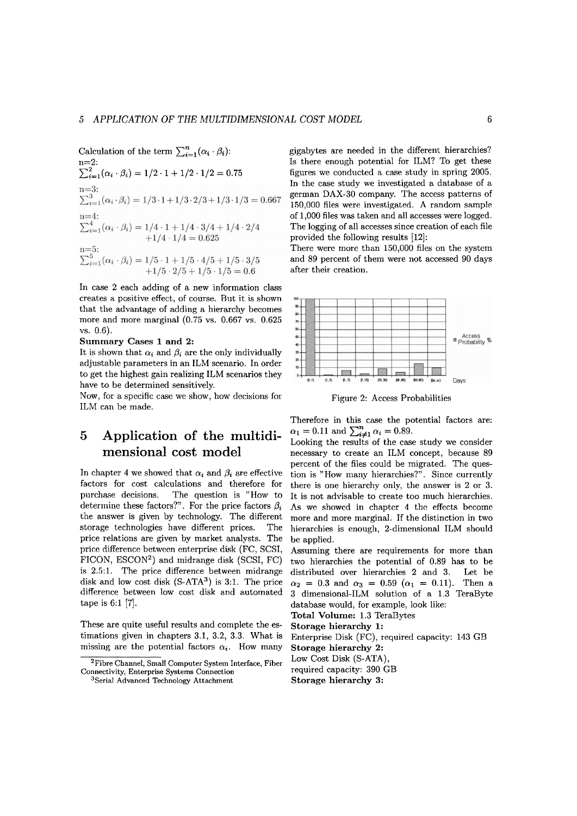Calculation of the term  $\sum_{i=1}^{n}(\alpha_i \cdot \beta_i)$ :  $n=2$ :  $\sum_{i=1}^{2} (\alpha_i \cdot \beta_i) = 1/2 \cdot 1 + 1/2 \cdot 1/2 = 0.75$  $n=3$ :  $\sum_{i=1}^{3} (\alpha_i \cdot \beta_i) = 1/3 \cdot 1 + 1/3 \cdot 2/3 + 1/3 \cdot 1/3 = 0.667$  $n=4$  $\sum_{i=1}^{n-4} (\alpha_i \cdot \beta_i) = 1/4 \cdot 1 + 1/4 \cdot 3/4 + 1/4 \cdot 2/4$ <br>+1/4 · 1/4 = 0.625 n=5:<br>  $\sum_{i=1}^{5} (\alpha_i \cdot \beta_i) = 1/5 \cdot 1 + 1/5 \cdot 4/5 + 1/5 \cdot 3/5$ <br>  $+1/5 \cdot 2/5 + 1/5 \cdot 1/5 = 0.6$ 

In case 2 each adding of a new information class creates a positive effect, of Course. But it is shown that the advantage of adding a hierarchy becomes more and more marginal (0.75 vs. 0.667 vs. 0.625 vs. 0.6).

### **Summary Cases 1 and 2:**

It is shown that  $\alpha_i$  and  $\beta_i$  are the only individually adjustable parameters in an ILM scenario. In order to get the highest gain realizing ILM scenarios they have to be determined sensitively.

Now, for a specific case we show, how decisions for ILM can be made.

# **5 Application of the multidimensional cost model**

In chapter 4 we showed that  $\alpha_i$  and  $\beta_i$  are effective factors for cost calculations and therefore for purchase decisions. The question is "How to determine these factors?". For the price factors  $\beta_i$ the answer is given by technology. The different storage technologies have different prices. The price relations are given by market analysts. The price difference between enterprise disk (FC, SCSI, FICON, ESCON2) and midrange disk (SCSI, FC) is 2.5:l. The price difference between midrange disk and low cost disk  $(S-ATA^3)$  is 3:1. The price difference between low cost disk and automated tape is  $6:1$  [7].

These are quite useful results and complete the estimations given in chapters 3.1, 3.2, **3.3.** What is missing are the potential factors  $\alpha_i$ . How many

gigabytes are needed in the different hierarchies? 1s there enough potential for ILM? To get these figures we conducted a case study in spring 2005. In the case study we investigated a database of a german DAX-30 company. The access patterns of 150,000 files were investigated. A random sample of 1,000 files was taken and all accesses were logged. The logging of all accesses since creation of each file provided the following results [12]:

There were more than 150,000 files on the system and 89 percent of them were not accessed 90 days after their creation.



Figure 2: Access Probabilities

Therefore in this case the potential factors are:  $\alpha_1 = 0.11$  and  $\sum_{i \neq 1}^{n} \alpha_i = 0.89$ .

Looking the results of the case study we consider necessary to create an ILM concept, because 89 percent of the files could be migrated. The question is "How many hierarchies?". Since currently there is one hierarchy only, the answer is 2 or 3. It is not advisable to create too much hierarchies. As we showed in chapter 4 the effects become more and more marginal. If the distinction in two hierarchies is enough, 2-dimensional ILM should be applied.

Assuming there are requirements for more than two hierarchies the potential of 0.89 has to be distributed over hierarchies **2** and 3. Let be  $\alpha_2 = 0.3$  and  $\alpha_3 = 0.59$  ( $\alpha_1 = 0.11$ ). Then a **3** dimensional-ILM solution of a 1.3 TeraByte database would, for example, look like:

**Total Volume:** 1.3 TeraBytes

**Storage hierarchy 1:** 

Enterprise Disk (FC), required capacity: 143 GB **Storage hierarchy** 2: Low Cost Disk (S-ATA)

required capacity: 390 GB

**Storage hierarchy** 3:

**<sup>2</sup>Fibre Channel, Small Computer System Interface, Fiber Connectivity, Enterprise Systems Connection** 

**<sup>3</sup>Serial Advanced Technology Attachment**